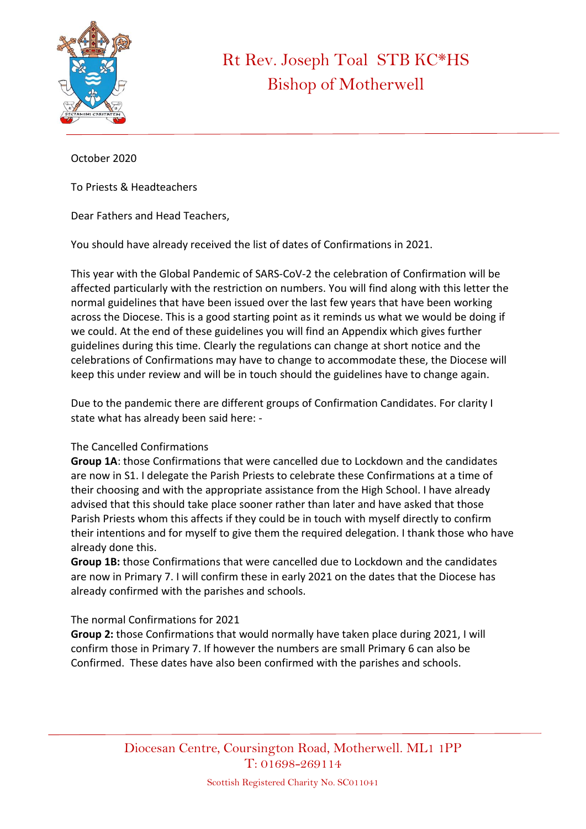

## Rt Rev. Joseph Toal STB KC\*HS Bishop of Motherwell

October 2020

To Priests & Headteachers

Dear Fathers and Head Teachers,

You should have already received the list of dates of Confirmations in 2021.

This year with the Global Pandemic of SARS-CoV-2 the celebration of Confirmation will be affected particularly with the restriction on numbers. You will find along with this letter the normal guidelines that have been issued over the last few years that have been working across the Diocese. This is a good starting point as it reminds us what we would be doing if we could. At the end of these guidelines you will find an Appendix which gives further guidelines during this time. Clearly the regulations can change at short notice and the celebrations of Confirmations may have to change to accommodate these, the Diocese will keep this under review and will be in touch should the guidelines have to change again.

Due to the pandemic there are different groups of Confirmation Candidates. For clarity I state what has already been said here: -

## The Cancelled Confirmations

**Group 1A**: those Confirmations that were cancelled due to Lockdown and the candidates are now in S1. I delegate the Parish Priests to celebrate these Confirmations at a time of their choosing and with the appropriate assistance from the High School. I have already advised that this should take place sooner rather than later and have asked that those Parish Priests whom this affects if they could be in touch with myself directly to confirm their intentions and for myself to give them the required delegation. I thank those who have already done this.

**Group 1B:** those Confirmations that were cancelled due to Lockdown and the candidates are now in Primary 7. I will confirm these in early 2021 on the dates that the Diocese has already confirmed with the parishes and schools.

## The normal Confirmations for 2021

**Group 2:** those Confirmations that would normally have taken place during 2021, I will confirm those in Primary 7. If however the numbers are small Primary 6 can also be Confirmed. These dates have also been confirmed with the parishes and schools.